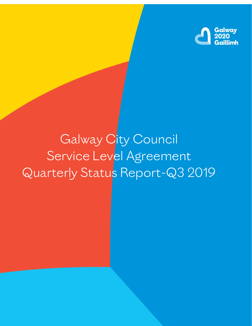

# Galway City Council Service Level Agreement Quarterly Status Report-Q3 2019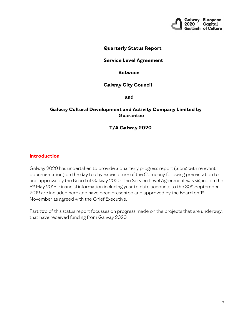

## **Quarterly Status Report**

## **Service Level Agreement**

#### **Between**

### **Galway City Council**

**and**

## **Galway Cultural Development and Activity Company Limited by Guarantee**

## **T/A Galway 2020**

### **Introduction**

Galway 2020 has undertaken to provide a quarterly progress report (along with relevant documentation) on the day to day expenditure of the Company following presentation to and approval by the Board of Galway 2020. The Service Level Agreement was signed on the 8<sup>th</sup> May 2018. Financial information including year to date accounts to the 30<sup>th</sup> September 2019 are included here and have been presented and approved by the Board on 1st November as agreed with the Chief Executive.

Part two of this status report focusses on progress made on the projects that are underway, that have received funding from Galway 2020.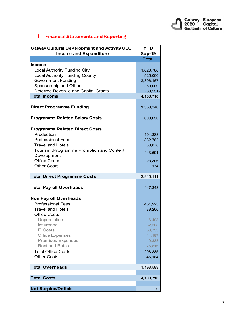

# **1. Financial Statements and Reporting**

| <b>Galway Cultural Development and Activity CLG</b> | <b>YTD</b>    |
|-----------------------------------------------------|---------------|
| <b>Income and Expenditure</b>                       | <b>Sep-19</b> |
|                                                     | <b>Total</b>  |
| <b>Income</b>                                       |               |
| <b>Local Authority Funding City</b>                 | 1,026,786     |
| <b>Local Authority Funding County</b>               | 525,000       |
| <b>Government Funding</b>                           | 2,396,167     |
| Sponsorship and Other                               | 250,009       |
| Deferred Revenue and Capital Grants                 | (89, 251)     |
| <b>Total Income</b>                                 | 4,108,710     |
|                                                     |               |
| <b>Direct Programme Funding</b>                     | 1,358,340     |
| <b>Programme Related Salary Costs</b>               | 608,650       |
| <b>Programme Related Direct Costs</b>               |               |
| Production                                          | 104,388       |
| <b>Professional Fees</b>                            | 332,782       |
| <b>Travel and Hotels</b>                            | 38,878        |
| Tourism, Programme Promotion and Content            | 443,591       |
| Development                                         |               |
| <b>Office Costs</b>                                 | 28,306        |
| <b>Other Costs</b>                                  | 174           |
| <b>Total Direct Programme Costs</b>                 | 2,915,111     |
| <b>Total Payroll Overheads</b>                      | 447,348       |
| <b>Non Payroll Overheads</b>                        |               |
| <b>Professional Fees</b>                            | 451,923       |
| <b>Travel and Hotels</b>                            | 39,260        |
| <b>Office Costs</b>                                 |               |
| Depreciation                                        | 16,493        |
| Insurance                                           | 32,308        |
| <b>IT Costs</b>                                     | 50,733        |
| <b>Office Expenses</b>                              | 14,197        |
| <b>Premises Expenses</b>                            | 19,338        |
| <b>Rent and Rates</b>                               | 75,816        |
| <b>Total Office Costs</b>                           | 208,885       |
| <b>Other Costs</b>                                  | 46,184        |
| <b>Total Overheads</b>                              | 1,193,599     |
|                                                     |               |
| <b>Total Costs</b>                                  | 4,108,710     |
| <b>Net Surplus/Deficit</b>                          | 0             |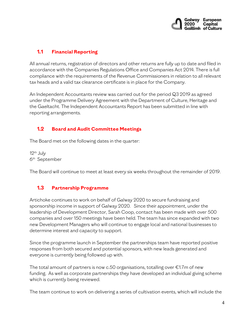

# **1.1 Financial Reporting**

All annual returns, registration of directors and other returns are fully up to date and filed in accordance with the Companies Regulations Office and Companies Act 2014. There is full compliance with the requirements of the Revenue Commissioners in relation to all relevant tax heads and a valid tax clearance certificate is in place for the Company.

An Independent Accountants review was carried out for the period Q3 2019 as agreed under the Programme Delivery Agreement with the Department of Culture, Heritage and the Gaeltacht. The Independent Accountants Report has been submitted in line with reporting arrangements.

## **1.2 Board and Audit Committee Meetings**

The Board met on the following dates in the quarter:

 $12<sup>th</sup>$  July 6th September

The Board will continue to meet at least every six weeks throughout the remainder of 2019.

## **1.3 Partnership Programme**

Artichoke continues to work on behalf of Galway 2020 to secure fundraising and sponsorship income in support of Galway 2020. Since their appointment, under the leadership of Development Director, Sarah Coop, contact has been made with over 500 companies and over 150 meetings have been held. The team has since expanded with two new Development Managers who will continue to engage local and national businesses to determine interest and capacity to support.

Since the programme launch in September the partnerships team have reported positive responses from both secured and potential sponsors, with new leads generated and everyone is currently being followed up with.

The total amount of partners is now c.50 organisations, totalling over  $\epsilon$ 1.7m of new funding. As well as corporate partnerships they have developed an individual giving scheme which is currently being reviewed.

The team continue to work on delivering a series of cultivation events, which will include the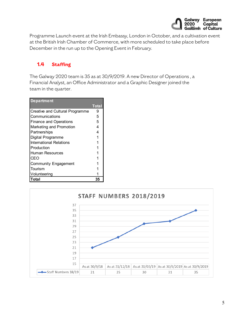

Programme Launch event at the Irish Embassy, London in October, and a cultivation event at the British Irish Chamber of Commerce, with more scheduled to take place before December in the run up to the Opening Event in February.

# **1.4 Staffing**

The Galway 2020 team is 35 as at 30/9/2019. A new Director of Operations , a Financial Analyst, an Office Administrator and a Graphic Designer joined the team in the quarter.

| <b>Department</b>               |              |
|---------------------------------|--------------|
|                                 | <b>Total</b> |
| Creative and Cultural Programme | 9            |
| Communications                  | 5            |
| <b>Finance and Operations</b>   | 5            |
| Marketing and Promotion         | 4            |
| Partnerships                    | 4            |
| Digital Programme               | 1            |
| International Relations         |              |
| Production                      |              |
| Human Resources                 |              |
| CEO                             |              |
| <b>Community Engagement</b>     |              |
| Tourism                         |              |
| Volunteering                    |              |
| Total                           | 35           |

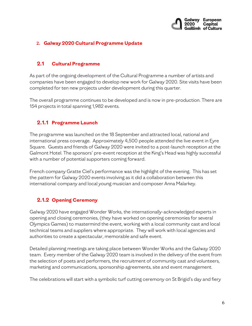

## **2. Galway 2020 Cultural Programme Update**

## **2.1 Cultural Programme**

As part of the ongoing development of the Cultural Programme a number of artists and companies have been engaged to develop new work for Galway 2020. Site visits have been completed for ten new projects under development during this quarter.

The overall programme continues to be developed and is now in pre-production. There are 154 projects in total spanning 1,982 events.

## **2.1.1 Programme Launch**

The programme was launched on the 18 September and attracted local, national and international press coverage. Approximately 4,500 people attended the live event in Eyre Square. Guests and friends of Galway 2020 were invited to a post-launch reception at the Galmont Hotel. The sponsors' pre-event reception at the King's Head was highly successful with a number of potential supporters coming forward.

French company Gratte Ciel's performance was the highlight of the evening. This has set the pattern for Galway 2020 events involving as it did a collaboration between this international company and local young musician and composer Anna Malarkey.

## **2.1.2 Opening Ceremony**

Galway 2020 have engaged Wonder Works, the internationally-acknowledged experts in opening and closing ceremonies, (they have worked on opening ceremonies for several Olympics Games) to mastermind the event, working with a local community cast and local technical teams and suppliers where appropriate. They will work with local agencies and authorities to create a spectacular, memorable and safe event.

Detailed planning meetings are taking place between Wonder Works and the Galway 2020 team. Every member of the Galway 2020 team is involved in the delivery of the event from the selection of poets and performers, the recruitment of community cast and volunteers, marketing and communications, sponsorship agreements, site and event management.

The celebrations will start with a symbolic turf cutting ceremony on St Brigid's day and fiery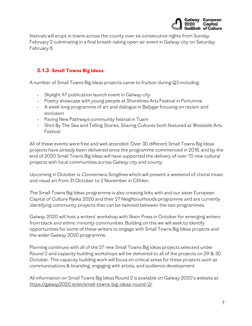

festivals will erupt in towns across the county over six consecutive nights from Sunday February 2 culminating in a final breath-taking open-air event in Galway city on Saturday February 8.

# **2.1.3 Small Towns Big Ideas**

A number of Small Towns Big Ideas projects came to fruition during Q3 including:

- Skylight 47 publication launch event in Galway city
- Poetry showcase with young people at Shorelines Arts Festival in Portumna
- A week long programme of art and dialogue in Ballygar focusing on racism and exclusion
- Paving New Pathways community festival in Tuam
- Shot By The Sea and Telling Stories, Sharing Cultures both featured at Westside Arts Festival

All of these events were free and well attended. Over 30 different Small Towns Big Ideas projects have already been delivered since the programme commenced in 2018, and by the end of 2020 Small Towns Big Ideas will have supported the delivery of over 70 new cultural projects with local communities across Galway city and county.

Upcoming in October is *Connemara Songlines* which will present a weekend of choral music and visual art from 31 October to 2 November in Clifden.

The Small Towns Big Ideas programme is also creating links with and our sister European Capital of Culture Rijeka 2020 and their 27 Neighbourhoods programme and are currently identifying community projects that can be twinned between the two programmes.

Galway 2020 will host a writers' workshop with Skein Press in October for emerging writers from black and ethnic minority communities. Building on this we will seek to identify opportunities for some of these writers to engage with Small Towns Big Ideas projects and the wider Galway 2020 programme.

Planning continues with all of the 27 new Small Towns Big Ideas projects selected under Round 2 and capacity building workshops will be delivered to all of the projects on 29 & 30 October. This capacity building work will focus on critical areas for these projects such as communications & branding, engaging with artists, and audience development.

All information on Small Towns Big Ideas Round 2 is available on Galway 2020's website at [https://galway2020.ie/en/small-towns-big-ideas-round-2/.](https://galway2020.ie/en/small-towns-big-ideas-round-2/)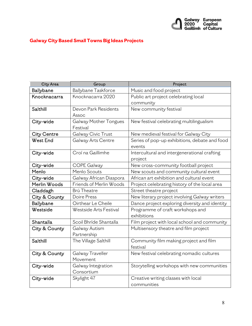

# **Galway City Based Small Towns Big Ideas Projects**

| City Area          | Group                             | Project                                                 |  |
|--------------------|-----------------------------------|---------------------------------------------------------|--|
| Ballybane          | Ballybane Taskforce               | Music and food project                                  |  |
| Knocknacarra       | Knocknacarra 2020                 | Public art project celebrating local<br>community       |  |
| Salthill           | Devon Park Residents<br>Assoc     | New community festival                                  |  |
| City-wide          | Galway Mother Tongues<br>Festival | New festival celebrating multilingualism                |  |
| <b>City Centre</b> | Galway Civic Trust                | New medieval festival for Galway City                   |  |
| <b>West End</b>    | Galway Arts Centre                | Series of pop-up exhibitions, debate and food<br>events |  |
| City-wide          | Croí na Gaillimhe                 | Intercultural and intergenerational crafting<br>project |  |
| City-wide          | <b>COPE Galway</b>                | New cross-community football project                    |  |
| Menlo              | Menlo Scouts                      | New scouts and community cultural event                 |  |
| City-wide          | Galway African Diaspora           | African art exhibition and cultural event               |  |
| Merlin Woods       | Friends of Merlin Woods           | Project celebrating history of the local area           |  |
| Claddagh           | <b>Brú Theatre</b>                | Street theatre project                                  |  |
| City & County      | Doire Press                       | New literary project involving Galway writers           |  |
| Ballybane          | Oirthear Le Cheile                | Dance project exploring diversity and identity          |  |
| Westside           | Westside Arts Festival            | Programme of craft workshops and<br>exhibitions         |  |
| Shantalla          | Scoil Bhríde Shantalla            | Film project with local school and community            |  |
| City & County      | Galway Autism<br>Partnership      | Multisensory theatre and film project                   |  |
| Salthill           | The Village Salthill              | Community film making project and film<br>festival      |  |
| City & County      | Galway Traveller<br>Movement      | New festival celebrating nomadic cultures               |  |
| City-wide          | Galway Integration<br>Consortium  | Storytelling workshops with new communities             |  |
| City-wide          | Skylight 47                       | Creative writing classes with local<br>communities      |  |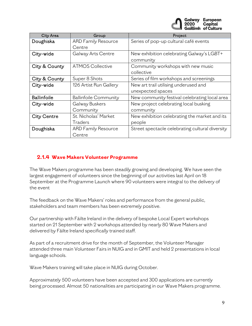

| City Area          | Group                        | Project                                         |  |
|--------------------|------------------------------|-------------------------------------------------|--|
| Doughiska          | <b>ARD Family Resource</b>   | Series of pop-up cultural café events           |  |
|                    | Centre                       |                                                 |  |
| City-wide          | Galway Arts Centre           | New exhibition celebrating Galway's LGBT+       |  |
|                    |                              | community                                       |  |
| City & County      | <b>ATMOS Collective</b>      | Community workshops with new music              |  |
|                    |                              | collective                                      |  |
| City & County      | Super 8 Shots                | Series of film workshops and screenings         |  |
| City-wide          | 126 Artist Run Gallery       | New art trail utilising underused and           |  |
|                    |                              | unexpected spaces                               |  |
| <b>Ballinfoile</b> | <b>Ballinfoile Community</b> | New community festival celebrating local area   |  |
| City-wide          | Galway Buskers               | New project celebrating local busking           |  |
|                    | Community                    | community                                       |  |
| <b>City Centre</b> | St. Nicholas' Market         | New exhibition celebrating the market and its   |  |
|                    | <b>Traders</b>               | people                                          |  |
| Doughiska          | <b>ARD Family Resource</b>   | Street spectacle celebrating cultural diversity |  |
|                    | Centre                       |                                                 |  |

# **2.1.4 Wave Makers Volunteer Programme**

The Wave Makers programme has been steadily growing and developing. We have seen the largest engagement of volunteers since the beginning of our activities last April on 18 September at the Programme Launch where 90 volunteers were integral to the delivery of the event

The feedback on the Wave Makers' roles and performance from the general public, stakeholders and team members has been extremely positive.

Our partnership with Fáilte Ireland in the delivery of bespoke Local Expert workshops started on 21 September with 2 workshops attended by nearly 80 Wave Makers and delivered by Fáilte Ireland specifically trained staff.

As part of a recruitment drive for the month of September, the Volunteer Manager attended three main Volunteer Fairs in NUIG and in GMIT and held 2 presentations in local language schools.

Wave Makers training will take place in NUIG during October.

Approximately 500 volunteers have been accepted and 300 applications are currently being processed. Almost 50 nationalities are participating in our Wave Makers programme.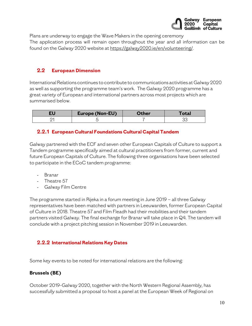

Plans are underway to engage the Wave Makers in the opening ceremony The application process will remain open throughout the year and all information can be found on the Galway 2020 website a[t https://galway2020.ie/en/volunteering/.](https://galway2020.ie/en/volunteering/) 

# **2.2 European Dimension**

International Relations continues to contribute to communications activities at Galway 2020 as well as supporting the programme team's work. The Galway 2020 programme has a great variety of European and international partners across most projects which are summarised below.

| Europe (Non-EU) | <b>ther</b> | otal |
|-----------------|-------------|------|
|                 |             | ےر   |

## **2.2.1 European Cultural Foundation[s Cultural Capital Tandem](https://galway2020.ie/en/news/galway-takes-part-in-tandem-cultural-capitals-programme/)**

Galway partnered with the ECF and seven other European Capitals of Culture to support a Tandem programme specifically aimed at cultural practitioners from former, current and future European Capitals of Culture. The following three organisations have been selected to participate in the ECoC tandem programme:

- Branar
- Theatre 57
- Galway Film Centre

The programme started in Rijeka in a forum meeting in June 2019 – all three Galway representatives have been matched with partners in Leeuwarden, former European Capital of Culture in 2018. Theatre 57 and Film Fleadh had their mobilities and their tandem partners visited Galway. The final exchange for Branar will take place in Q4. The tandem will conclude with a project pitching session in November 2019 in Leeuwarden.

## **2.2.2 International Relations Key Dates**

Some key events to be noted for international relations are the following:

## **Brussels (BE)**

October 2019-Galway 2020, together with the North Western Regional Assembly, has successfully submitted a proposal to host a panel at the European Week of Regional on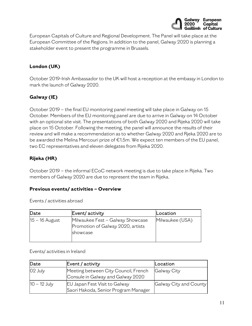

European Capitals of Culture and Regional Development. The Panel will take place at the European Committee of the Regions. In addition to the panel, Galway 2020 is planning a stakeholder event to present the programme in Brussels.

# **London (UK)**

October 2019-Irish Ambassador to the UK will host a reception at the embassy in London to mark the launch of Galway 2020.

# **Galway (IE)**

October 2019 – the final EU monitoring panel meeting will take place in Galway on 15 October. Members of the EU monitoring panel are due to arrive in Galway on 14 October with an optional site visit. The presentations of both Galway 2020 and Rijeka 2020 will take place on 15 October. Following the meeting, the panel will announce the results of their review and will make a recommendation as to whether Galway 2020 and Rjeka 2020 are to be awarded the Melina Mercouri prize of €1.5m. We expect ten members of the EU panel, two EC representatives and eleven delegates from Rijeka 2020.

## **Rijeka (HR)**

October 2019 – the informal ECoC network meeting is due to take place in Rijeka. Two members of Galway 2020 are due to represent the team in Rijeka.

## **Previous events/ activities – Overview**

Events / activities abroad

| Date           | Event/ activity                   | Location        |
|----------------|-----------------------------------|-----------------|
| 15 – 16 August | Milwaukee Fest - Galway Showcase  | Milwaukee (USA) |
|                | Promotion of Galway 2020, artists |                 |
|                | showcase                          |                 |
|                |                                   |                 |

Events/ activities in Ireland

| Date           | Event / activity                     | Location               |
|----------------|--------------------------------------|------------------------|
| 02 July        | Meeting between City Council, French | Galway City            |
|                | Consule in Galway and Galway 2020    |                        |
| $10 - 12$ July | <b>EU Japan Fest Visit to Galway</b> | Galway City and County |
|                | Saori Hakoda, Senior Program Manager |                        |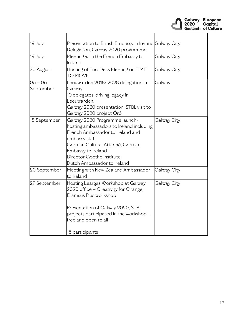

| 19 July                | Presentation to British Embassy in Ireland Galway City<br>Delegation, Galway 2020 programme                                                                                                                                                         |             |
|------------------------|-----------------------------------------------------------------------------------------------------------------------------------------------------------------------------------------------------------------------------------------------------|-------------|
| 19 July                | Meeting with the French Embassy to<br>lreland                                                                                                                                                                                                       | Galway City |
| 30 August              | Hosting of EuroDesk Meeting on TIME<br><b>TO MOVE</b>                                                                                                                                                                                               | Galway City |
| $05 - 06$<br>September | Leeuwarden 2018/2028 delegation in<br>Galway<br>10 delegates, driving legacy in<br>Leeuwarden.<br>Galway 2020 presentation, STBI, visit to<br>Galway 2020 project Óró                                                                               | Galway      |
| 18 September           | Galway 2020 Programme launch-<br>hosting ambassadors to Ireland including<br>French Ambassador to Ireland and<br>embassy staff<br>German Cultural Attaché, German<br>Embassy to Ireland<br>Director Goethe Institute<br>Dutch Ambassador to Ireland | Galway City |
| 20 September           | Meeting with New Zealand Ambassador<br>to Ireland                                                                                                                                                                                                   | Galway City |
| 27 September           | Hosting Leargas Workshop at Galway<br>2020 office - Creativity for Change,<br>Eramsus Plus workshop<br>Presentation of Galway 2020, STBI<br>projects participated in the workshop -<br>free and open to all<br>15 participants                      | Galway City |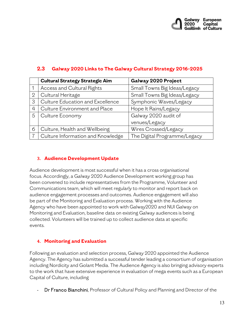

|                | <b>Cultural Strategy Strategic Aim</b> | Galway 2020 Project          |
|----------------|----------------------------------------|------------------------------|
|                | Access and Cultural Rights             | Small Towns Big Ideas/Legacy |
| $\overline{2}$ | Cultural Heritage                      | Small Towns Big Ideas/Legacy |
| 3              | Culture Education and Excellence       | Symphonic Waves/Legacy       |
| 4              | Culture Environment and Place          | Hope It Rains/Legacy         |
| 5              | Culture Economy                        | Galway 2020 audit of         |
|                |                                        | venues/Legacy                |
| 6              | Culture, Health and Wellbeing          | Wires Crossed/Legacy         |
|                | Culture Information and Knowledge      | The Digital Programme/Legacy |

## **2.3 Galway 2020 Links to The Galway Cultural Strategy 2016-2025**

## **3. Audience Development Update**

Audience development is most successful when it has a cross organisational focus. Accordingly, a Galway 2020 Audience Development working group has been convened to include representatives from the Programme, Volunteer and Communications team, which will meet regularly to monitor and report back on audience engagement processes and outcomes. Audience engagement will also be part of the Monitoring and Evaluation process. Working with the Audience Agency who have been appointed to work with Galway2020 and NUI Galway on Monitoring and Evaluation, baseline data on existing Galway audiences is being collected. Volunteers will be trained up to collect audience data at specific events.

## **4. Monitoring and Evaluation**

Following an evaluation and selection process, Galway 2020 appointed the Audience Agency. The Agency has submitted a successful tender leading a consortium of organisation including Nordicity and Golant Media. The Audience Agency is also bringing advisory experts to the work that have extensive experience in evaluation of mega events such as a European Capital of Culture, including

Dr Franco Bianchini, Professor of Cultural Policy and Planning and Director of the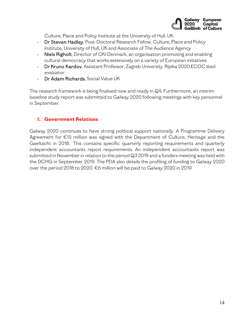

Culture, Place and Policy Institute at the University of Hull, UK

- Dr Steven Hadley, Post-Doctoral Research Fellow, Culture, Place and Policy Institute, University of Hull, UK and Associate of The Audience Agency
- Niels Righolt, Director of CKI Denmark, an organisation promoting and enabling cultural democracy that works extensively on a variety of European initiatives
- Dr Kruno Kardov, Assistant Professor, Zagreb University, Rijeka 2020 ECOC lead evaluator
- Dr Adam Richards, Social Value UK

The research framework is being finalised now and ready in Q4. Furthermore, an interim baseline study report was submitted to Galway 2020 following meetings with key personnel in September.

## **5. Government Relations**

Galway 2020 continues to have strong political support nationally. A Programme Delivery Agreement for €15 million was signed with the Department of Culture, Heritage and the Gaeltacht in 2018. This contains specific quarterly reporting requirements and quarterly independent accountants report requirements. An independent accountants report was submitted in November in relation to the period Q3 2019 and a funders meeting was held with the DCHG in September 2019. The PDA also details the profiling of funding to Galway 2020 over the period 2018 to 2020. €6 million will be paid to Galway 2020 in 2019.